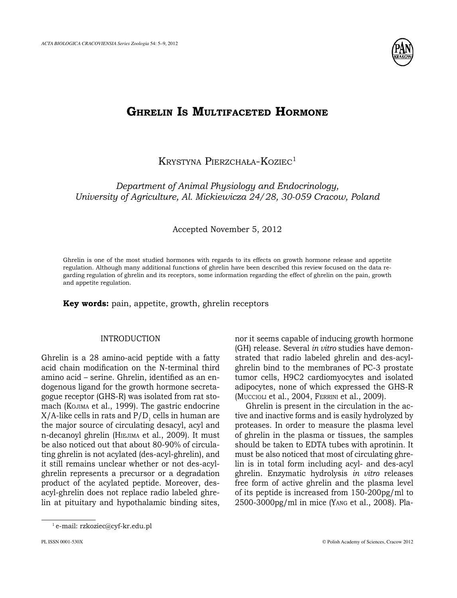

# **Ghrelin Is Multifaceted Hormone**

Krystyna Pierzchała-Koziec<sup>1</sup>

*Department of Animal Physiology and Endocrinology, University of Agriculture, Al. Mickiewicza 24/28, 30-059 Cracow, Poland*

## Accepted November 5, 2012

Ghrelin is one of the most studied hormones with regards to its effects on growth hormone release and appetite regulation. Although many additional functions of ghrelin have been described this review focused on the data regarding regulation of ghrelin and its receptors, some information regarding the effect of ghrelin on the pain, growth and appetite regulation.

**Key words:** pain, appetite, growth, ghrelin receptors

## Introduction

Ghrelin is a 28 amino-acid peptide with a fatty acid chain modification on the N-terminal third amino acid – serine. Ghrelin, identified as an endogenous ligand for the growth hormone secretagogue receptor (GHS-R) was isolated from rat stomach (Kojima et al., 1999). The gastric endocrine  $X/A$ -like cells in rats and  $P/D$ , cells in human are the major source of circulating desacyl, acyl and n-decanoyl ghrelin (HIEJIMA et al., 2009). It must be also noticed out that about 80-90% of circulating ghrelin is not acylated (des-acyl-ghrelin), and it still remains unclear whether or not des-acylghrelin represents a precursor or a degradation product of the acylated peptide. Moreover, desacyl-ghrelin does not replace radio labeled ghrelin at pituitary and hypothalamic binding sites,

nor it seems capable of inducing growth hormone (GH) release. Several *in vitro* studies have demonstrated that radio labeled ghrelin and des-acylghrelin bind to the membranes of PC-3 prostate tumor cells, H9C2 cardiomyocytes and isolated adipocytes, none of which expressed the GHS-R (Muccioli et al., 2004, Ferrini et al., 2009).

Ghrelin is present in the circulation in the active and inactive forms and is easily hydrolyzed by proteases. In order to measure the plasma level of ghrelin in the plasma or tissues, the samples should be taken to EDTA tubes with aprotinin. It must be also noticed that most of circulating ghrelin is in total form including acyl- and des-acyl ghrelin. Enzymatic hydrolysis *in vitro* releases free form of active ghrelin and the plasma level of its peptide is increased from 150-200pg/ml to 2500-3000pg/ml in mice (Yang et al., 2008). Pla-

<sup>1</sup> e-mail: rzkoziec@cyf-kr.edu.pl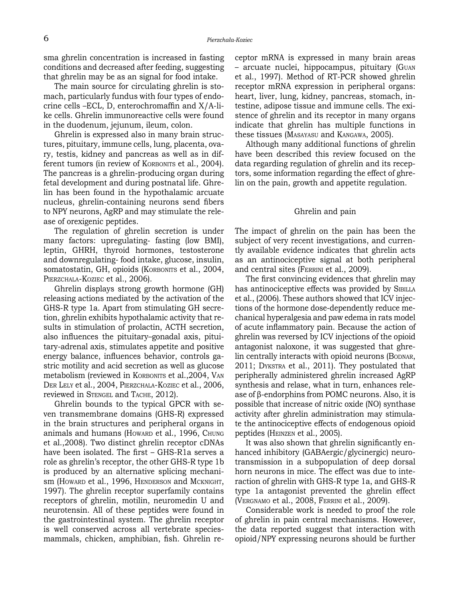sma ghrelin concentration is increased in fasting conditions and decreased after feeding, suggesting that ghrelin may be as an signal for food intake.

The main source for circulating ghrelin is stomach, particularly fundus with four types of endocrine cells –ECL, D, enterochromaffin and X/A-like cells. Ghrelin immunoreactive cells were found in the duodenum, jejunum, ileum, colon.

Ghrelin is expressed also in many brain structures, pituitary, immune cells, lung, placenta, ovary, testis, kidney and pancreas as well as in different tumors (in review of KORBONITS et al., 2004). The pancreas is a ghrelin-producing organ during fetal development and during postnatal life. Ghrelin has been found in the hypothalamic arcuate nucleus, ghrelin-containing neurons send fibers to NPY neurons, AgRP and may stimulate the release of orexigenic peptides.

The regulation of ghrelin secretion is under many factors: upregulating- fasting (low BMI), leptin, GHRH, thyroid hormones, testosterone and downregulating- food intake, glucose, insulin, somatostatin, GH, opioids (KORBONITS et al., 2004, PIERZCHALA-KOZIEC et al., 2006).

Ghrelin displays strong growth hormone (GH) releasing actions mediated by the activation of the GHS-R type 1a. Apart from stimulating GH secretion, ghrelin exhibits hypothalamic activity that results in stimulation of prolactin, ACTH secretion, also influences the pituitary–gonadal axis, pituitary-adrenal axis, stimulates appetite and positive energy balance, influences behavior, controls gastric motility and acid secretion as well as glucose metabolism (reviewed in KORBONITS et al., 2004, VAN Der Lely et al., 2004, Pierzchala-Koziec et al., 2006, reviewed in STENGEL and TACHE, 2012).

Ghrelin bounds to the typical GPCR with seven transmembrane domains (GHS-R) expressed in the brain structures and peripheral organs in animals and humans (HowARD et al., 1996, CHUNG et al.,2008). Two distinct ghrelin receptor cDNAs have been isolated. The first – GHS-R1a serves a role as ghrelin's receptor, the other GHS-R type 1b is produced by an alternative splicing mechanism (Howard et al., 1996, HENDERSON and MCKNIGHT, 1997). The ghrelin receptor superfamily contains receptors of ghrelin, motilin, neuromedin U and neurotensin. All of these peptides were found in the gastrointestinal system. The ghrelin receptor is well conserved across all vertebrate speciesmammals, chicken, amphibian, fish. Ghrelin receptor mRNA is expressed in many brain areas – arcuate nuclei, hippocampus, pituitary (Guan et al., 1997). Method of RT-PCR showed ghrelin receptor mRNA expression in peripheral organs: heart, liver, lung, kidney, pancreas, stomach, intestine, adipose tissue and immune cells. The existence of ghrelin and its receptor in many organs indicate that ghrelin has multiple functions in these tissues (Masayasu and Kangawa, 2005).

Although many additional functions of ghrelin have been described this review focused on the data regarding regulation of ghrelin and its receptors, some information regarding the effect of ghrelin on the pain, growth and appetite regulation.

#### Ghrelin and pain

The impact of ghrelin on the pain has been the subject of very recent investigations, and currently available evidence indicates that ghrelin acts as an antinociceptive signal at both peripheral and central sites (Ferrini et al., 2009).

The first convincing evidences that ghrelin may has antinociceptive effects was provided by SIBILLA et al., (2006). These authors showed that ICV injections of the hormone dose-dependently reduce mechanical hyperalgesia and paw edema in rats model of acute inflammatory pain. Because the action of ghrelin was reversed by ICV injections of the opioid antagonist naloxone, it was suggested that ghrelin centrally interacts with opioid neurons (BODNAR, 2011; Dykstra et al., 2011). They postulated that peripherally administered ghrelin increased AgRP synthesis and relase, what in turn, enhances release of β-endorphins from POMC neurons. Also, it is possible that increase of nitric oxide (NO) synthase activity after ghrelin administration may stimulate the antinociceptive effects of endogenous opioid peptides (Heinzen et al., 2005).

It was also shown that ghrelin significantly enhanced inhibitory (GABAergic/glycinergic) neurotransmission in a subpopulation of deep dorsal horn neurons in mice. The effect was due to interaction of ghrelin with GHS-R type 1a, and GHS-R type 1a antagonist prevented the ghrelin effect (Vergnamo et al., 2008, Ferrini et al., 2009).

Considerable work is needed to proof the role of ghrelin in pain central mechanisms. However, the data reported suggest that interaction with opioid/NPY expressing neurons should be further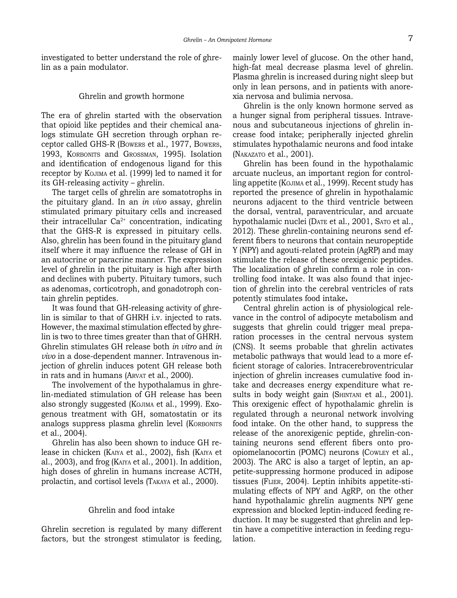investigated to better understand the role of ghrelin as a pain modulator.

## Ghrelin and growth hormone

The era of ghrelin started with the observation that opioid like peptides and their chemical analogs stimulate GH secretion through orphan receptor called GHS-R (Bowers et al., 1977, Bowers, 1993, KORBONITS and GROSSMAN, 1995). Isolation and identification of endogenous ligand for this receptor by Kojima et al. (1999) led to named it for its GH-releasing activity – ghrelin.

The target cells of ghrelin are somatotrophs in the pituitary gland. In an *in vivo* assay, ghrelin stimulated primary pituitary cells and increased their intracellular  $Ca^{2+}$  concentration, indicating that the GHS-R is expressed in pituitary cells. Also, ghrelin has been found in the pituitary gland itself where it may influence the release of GH in an autocrine or paracrine manner. The expression level of ghrelin in the pituitary is high after birth and declines with puberty. Pituitary tumors, such as adenomas, corticotroph, and gonadotroph contain ghrelin peptides.

It was found that GH-releasing activity of ghrelin is similar to that of GHRH i.v. injected to rats. However, the maximal stimulation effected by ghrelin is two to three times greater than that of GHRH. Ghrelin stimulates GH release both *in vitro* and *in vivo* in a dose-dependent manner. Intravenous injection of ghrelin induces potent GH release both in rats and in humans (ARVAT et al., 2000).

The involvement of the hypothalamus in ghrelin-mediated stimulation of GH release has been also strongly suggested (Kojima et al., 1999). Exogenous treatment with GH, somatostatin or its analogs suppress plasma ghrelin level (KORBONITS et al., 2004).

Ghrelin has also been shown to induce GH release in chicken (Kaiya et al., 2002), fish (Kaiya et al., 2003), and frog (Kaiya et al., 2001). In addition, high doses of ghrelin in humans increase ACTH, prolactin, and cortisol levels (Takaya et al., 2000).

### Ghrelin and food intake

Ghrelin secretion is regulated by many different factors, but the strongest stimulator is feeding,

mainly lower level of glucose. On the other hand, high-fat meal decrease plasma level of ghrelin. Plasma ghrelin is increased during night sleep but only in lean persons, and in patients with anorexia nervosa and bulimia nervosa.

Ghrelin is the only known hormone served as a hunger signal from peripheral tissues. Intravenous and subcutaneous injections of ghrelin increase food intake; peripherally injected ghrelin stimulates hypothalamic neurons and food intake (Nakazato et al., 2001).

Ghrelin has been found in the hypothalamic arcuate nucleus, an important region for controlling appetite (Kojima et al., 1999). Recent study has reported the presence of ghrelin in hypothalamic neurons adjacent to the third ventricle between the dorsal, ventral, paraventricular, and arcuate hypothalamic nuclei (DATE et al., 2001, SATO et al., 2012). These ghrelin-containing neurons send efferent fibers to neurons that contain neuropeptide Y (NPY) and agouti-related protein (AgRP) and may stimulate the release of these orexigenic peptides. The localization of ghrelin confirm a role in controlling food intake. It was also found that injection of ghrelin into the cerebral ventricles of rats potently stimulates food intake**.**

Central ghrelin action is of physiological relevance in the control of adipocyte metabolism and suggests that ghrelin could trigger meal preparation processes in the central nervous system (CNS). It seems probable that ghrelin activates metabolic pathways that would lead to a more efficient storage of calories. Intracerebroventricular injection of ghrelin increases cumulative food intake and decreases energy expenditure what results in body weight gain (SHINTANI et al., 2001). This orexigenic effect of hypothalamic ghrelin is regulated through a neuronal network involving food intake. On the other hand, to suppress the release of the anorexigenic peptide, ghrelin-containing neurons send efferent fibers onto proopiomelanocortin (POMC) neurons (Cowley et al., 2003). The ARC is also a target of leptin, an appetite-suppressing hormone produced in adipose tissues (Flier, 2004). Leptin inhibits appetite-stimulating effects of NPY and AgRP, on the other hand hypothalamic ghrelin augments NPY gene expression and blocked leptin-induced feeding reduction. It may be suggested that ghrelin and leptin have a competitive interaction in feeding regulation.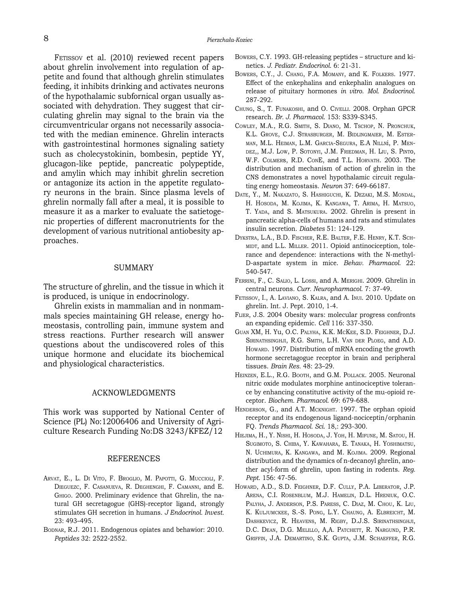Ferissov et al. (2010) reviewed recent papers about ghrelin involvement into regulation of appetite and found that although ghrelin stimulates feeding, it inhibits drinking and activates neurons of the hypothalamic subfornical organ usually associated with dehydration. They suggest that circulating ghrelin may signal to the brain via the circumventricular organs not necessarily associated with the median eminence. Ghrelin interacts with gastrointestinal hormones signaling satiety such as cholecystokinin, bombesin, peptide YY, glucagon-like peptide, pancreatic polypeptide, and amylin which may inhibit ghrelin secretion or antagonize its action in the appetite regulatory neurons in the brain. Since plasma levels of ghrelin normally fall after a meal, it is possible to measure it as a marker to evaluate the satietogenic properties of different macronutrients for the development of various nutritional antiobesity approaches.

#### **SUMMARY**

The structure of ghrelin, and the tissue in which it is produced, is unique in endocrinology.

Ghrelin exists in mammalian and in nonmammals species maintaining GH release, energy homeostasis, controlling pain, immune system and stress reactions. Further research will answer questions about the undiscovered roles of this unique hormone and elucidate its biochemical and physiological characteristics.

#### Acknowledgments

This work was supported by National Center of Science (PL) No:12006406 and University of Agriculture Research Funding No:DS 3243/KFEZ/12

#### **REFERENCES**

- Arvat, E., L. Di Vito, F. Broglio, M. Papotti, G. Muccioli, F. Dieguezc, F. Casanueva, R. Deghenghi, F. Camanni, and E. Ghigo. 2000. Preliminary evidence that Ghrelin, the natural GH secretagogue (GHS)-receptor ligand, strongly stimulates GH secretion in humans. *J Endocrinol. Invest.*  23: 493–495.
- BODNAR, R.J. 2011. Endogenous opiates and behawior: 2010. *Peptides* 32: 2522-2552.
- Bowers, C.Y. 1993. GH-releasing peptides structure and kinetics. *J. Pediatr. Endocrinol*. 6: 21-31.
- Bowers, C.Y., J. Chang, F.A. Momany, and K. Folkers. 1977. Effect of the enkephalins and enkephalin analogues on release of pituitary hormones *in vitro*. *Mol. Endocrinol*. 287-292.
- Chung, S., T. Funakoshi, and O. Civelli. 2008. Orphan GPCR research. *Br. J. Pharmacol*. 153: S339-S345.
- Cowley, M.A., R.G. Smith, S. Diano, M. Tschop, N. Pronchuk, K.L. Grove, C.J. Strasburger, M. Bidlingmaier, M. Esterman, M.L. Heiman, L.M. Garcia-Segura, E.A Nillni, P. Mendez,, M.J. Low, P. Sotonyi, J.M. Friedman, H. Liu, S. Pinto, W.F. Colmers, R.D. ConE, and T.L. Horvath. 2003. The distribution and mechanism of action of ghrelin in the CNS demonstrates a novel hypothalamic circuit regulating energy homeostasis. *Neuron* 37: 649-66187.
- Date, Y., M. Nakazato, S. Hashiguchi, K. Dezaki, M.S. Mondal, H. Hosoda, M. Kojima, K. Kangawa, T. Arima, H. Matsuo, T. Yada, and S. Matsukura. 2002. Ghrelin is present in pancreatic alpha-cells of humans and rats and stimulates insulin secretion. *Diabetes* 51: 124-129.
- Dykstra, L.A., B.D. Fischer, R.E. Balter, F.E. Henry, K.T. Sch-MIDT, and L.L. MILLER. 2011. Opioid antinociception, tolerance and dependence: interactions with the N-methyl-D-aspartate system in mice. *Behav. Pharmacol.* 22: 540-547.
- Ferrini, F., C. Salio, L. Lossi, and A. Merighi. 2009. Ghrelin in central neurons*. Curr. Neuropharmacol*. 7: 37-49.
- Fetissov, I., A. Laviano, S. Kalra, and A. Inui. 2010. Update on ghrelin. Int. J. Pept. 2010, 1-4.
- Flier, J.S. 2004 Obesity wars: molecular progress confronts an expanding epidemic. *Cell* 116: 337-350.
- Guan XM, H. Yu, O.C. Palyha, K.K. McKee, S.D. Feighner, D.J. SIRINATHSINGHJI, R.G. SMITH, L.H. VAN DER PLOEG, and A.D. Howard. 1997. Distribution of mRNA encoding the growth hormone secretagogue receptor in brain and peripheral tissues. *Brain Res.* 48: 23–29.
- HEINZEN, E.L., R.G. BOOTH, and G.M. POLLACK, 2005. Neuronal nitric oxide modulates morphine antinociceptive tolerance by enhancing constitutive activity of the mu-opioid receptor. *Biochem. Pharmacol*. 69: 679-688.
- HENDERSON, G., and A.T. MCKNIGHT. 1997. The orphan opioid receptor and its endogenous ligand-nociceptin/orphanin FQ. *Trends Pharmacol. Sci*. 18,: 293-300.
- Hiejima, H., Y. Nishi, H. Hosoda, J. Yoh, H. Mifune, M. Satou, H. Sugimoto, S. Chiba, Y. Kawahara, E. Tanaka, H. Yoshimatsu, N. Uchimura, K. Kangawa, and M. Kojima. 2009. Regional distribution and the dynamics of n-decanoyl ghrelin, another acyl-form of ghrelin, upon fasting in rodents. *Reg. Pept*. 156: 47-56.
- HOWARD, A.D., S.D. FEIGHNER, D.F. CULLY, P.A. LIBERATOR, J.P. Arena, C.I. Rosenblum, M.J. Hamelin, D.L. Hreniuk, O.C. Palyha, J. Anderson, P.S. Paress, C. Diaz, M. Chou, K. Liu, K. Kuljumckee, S.-S. Pong, L.Y. Chaung, A. Elbreicht, M. DASHKEVICZ, R. HEAVENS, M. RIGBY, D.J.S. SIRINATHSINGHJI, D.C. Dean, D.G. Melillo, A,A. Patchett, R. Nargund, P.R. Griffin, J.A. Demartino, S.K. Gupta, J.M. Schaeffer, R.G.